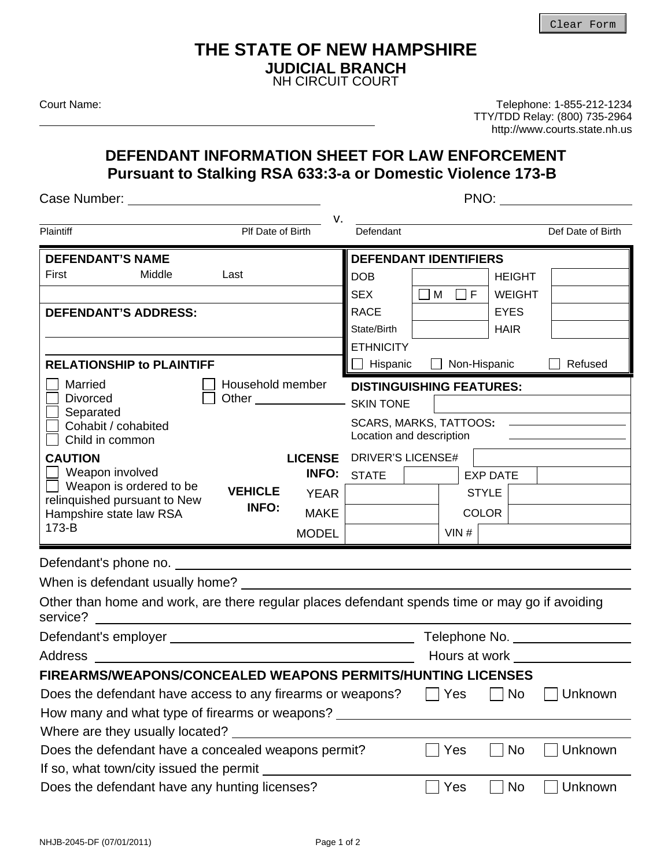## **THE STATE OF NEW HAMPSHIRE**

**JUDICIAL BRANCH** NH CIRCUIT COURT

Court Name:

Telephone: 1-855-212-1234 TTY/TDD Relay: (800) 735-2964 http://www.courts.state.nh.us

**DEFENDANT INFORMATION SHEET FOR LAW ENFORCEMENT Pursuant to Stalking RSA 633:3-a or Domestic Violence 173-B** 

| Case Number: University of the Case Number:                                                                                                                                        |                                       |                                                                              |                                                                                                                         |                   |                                                 |                   |
|------------------------------------------------------------------------------------------------------------------------------------------------------------------------------------|---------------------------------------|------------------------------------------------------------------------------|-------------------------------------------------------------------------------------------------------------------------|-------------------|-------------------------------------------------|-------------------|
| Plaintiff                                                                                                                                                                          | V.<br>Plf Date of Birth               |                                                                              | Defendant                                                                                                               |                   |                                                 | Def Date of Birth |
| <b>DEFENDANT'S NAME</b><br>First<br>Middle                                                                                                                                         | Last                                  |                                                                              | <b>DEFENDANT IDENTIFIERS</b><br><b>DOB</b>                                                                              |                   | <b>HEIGHT</b>                                   |                   |
| <b>DEFENDANT'S ADDRESS:</b>                                                                                                                                                        |                                       |                                                                              | <b>SEX</b><br><b>RACE</b>                                                                                               | $\Box$ M $\Box$ f | <b>WEIGHT</b><br><b>EYES</b>                    |                   |
| <b>RELATIONSHIP to PLAINTIFF</b>                                                                                                                                                   |                                       |                                                                              | State/Birth<br><b>ETHNICITY</b><br>Hispanic                                                                             |                   | <b>HAIR</b><br>Non-Hispanic                     | Refused           |
| Married<br><b>Divorced</b><br>Separated<br>Cohabit / cohabited<br>Child in common                                                                                                  | Household member<br>Other<br><u> </u> |                                                                              | <b>DISTINGUISHING FEATURES:</b><br><b>SKIN TONE</b><br>SCARS, MARKS, TATTOOS: _____________<br>Location and description |                   |                                                 |                   |
| <b>CAUTION</b><br>Weapon involved<br>$\Box$ Weapon is ordered to be<br>relinquished pursuant to New<br>Hampshire state law RSA<br>173-B                                            | <b>VEHICLE</b><br><b>INFO:</b>        | <b>LICENSE</b><br><b>INFO:</b><br><b>YEAR</b><br><b>MAKE</b><br><b>MODEL</b> | <b>DRIVER'S LICENSE#</b><br><b>STATE</b>                                                                                | VIN#              | <b>EXP DATE</b><br><b>STYLE</b><br><b>COLOR</b> |                   |
| Defendant's phone no. ___                                                                                                                                                          |                                       |                                                                              |                                                                                                                         |                   |                                                 |                   |
| Other than home and work, are there regular places defendant spends time or may go if avoiding<br>service?                                                                         |                                       |                                                                              |                                                                                                                         |                   |                                                 |                   |
|                                                                                                                                                                                    |                                       |                                                                              |                                                                                                                         |                   |                                                 |                   |
| <b>Address</b>                                                                                                                                                                     | Hours at work                         |                                                                              |                                                                                                                         |                   |                                                 |                   |
| <b>FIREARMS/WEAPONS/CONCEALED WEAPONS PERMITS/HUNTING LICENSES</b><br>Does the defendant have access to any firearms or weapons?<br>How many and what type of firearms or weapons? |                                       |                                                                              |                                                                                                                         | Yes               | No                                              | Unknown           |
| Where are they usually located?<br>Does the defendant have a concealed weapons permit?<br>If so, what town/city issued the permit _                                                |                                       |                                                                              |                                                                                                                         | Yes               | No                                              | Unknown           |
| Does the defendant have any hunting licenses?                                                                                                                                      |                                       | Yes                                                                          | No                                                                                                                      | Unknown           |                                                 |                   |